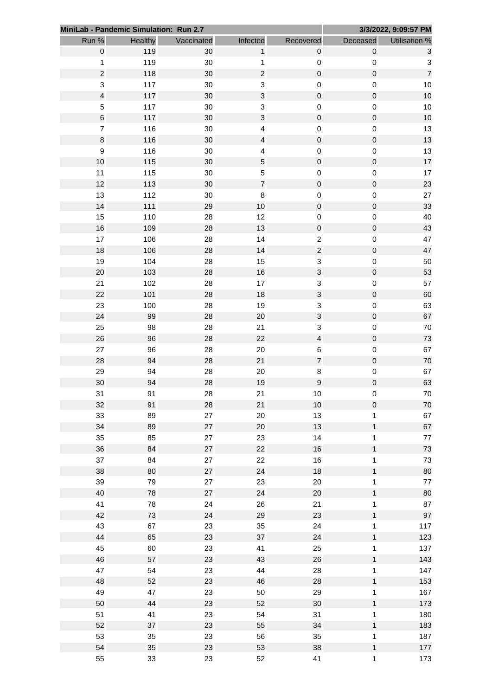|        | MiniLab - Pandemic Simulation: Run 2.7 |            |                           |                           |              | 3/3/2022, 9:09:57 PM      |
|--------|----------------------------------------|------------|---------------------------|---------------------------|--------------|---------------------------|
| Run %  | Healthy                                | Vaccinated | Infected                  | Recovered                 | Deceased     | Utilisation %             |
|        | $\mathbf 0$<br>119                     | 30         | $\mathbf{1}$              | $\pmb{0}$                 | $\mathbf 0$  | $\mathbf{3}$              |
|        | 119<br>$\mathbf{1}$                    | 30         | $\mathbf{1}$              | $\pmb{0}$                 | $\pmb{0}$    | $\ensuremath{\mathsf{3}}$ |
|        | $\boldsymbol{2}$<br>118                | 30         | $\overline{c}$            | $\mathbf 0$               | $\pmb{0}$    | $\overline{7}$            |
|        | 3<br>117                               | 30         | $\ensuremath{\mathsf{3}}$ | $\pmb{0}$                 | $\pmb{0}$    | $10$                      |
|        | $\overline{\mathbf{4}}$<br>117         | 30         | $\ensuremath{\mathsf{3}}$ | $\mathbf 0$               | $\pmb{0}$    | 10                        |
|        | 5<br>117                               | 30         | $\ensuremath{\mathsf{3}}$ | $\mathbf 0$               | $\pmb{0}$    | $10$                      |
|        | $\,$ 6 $\,$<br>117                     | 30         | $\mathbf{3}$              | $\mathsf{O}\xspace$       | $\mathbf 0$  | 10                        |
|        | $\overline{7}$<br>116                  | 30         | $\overline{\mathbf{4}}$   | $\mathbf 0$               | $\pmb{0}$    | 13                        |
|        | $\bf 8$<br>116                         | 30         | $\overline{\mathbf{4}}$   | $\mathbf 0$               | $\pmb{0}$    | 13                        |
|        | $\boldsymbol{9}$<br>116                | 30         | $\overline{\mathbf{4}}$   | $\mathbf 0$               | $\pmb{0}$    | 13                        |
| 10     | 115                                    | 30         | $\sqrt{5}$                | $\mathsf{O}\xspace$       | $\mathbf 0$  | 17                        |
| 11     | 115                                    | 30         | $\mathbf 5$               | $\pmb{0}$                 | $\pmb{0}$    | 17                        |
| 12     | 113                                    | 30         | $\boldsymbol{7}$          | $\mathbf 0$               | $\pmb{0}$    | 23                        |
| 13     | 112                                    | 30         | $\bf 8$                   | $\pmb{0}$                 | $\pmb{0}$    | $27\,$                    |
| 14     | 111                                    | 29         | 10                        | $\mathsf{O}\xspace$       | $\mathbf 0$  | 33                        |
| 15     | 110                                    | 28         | 12                        | $\pmb{0}$                 | $\pmb{0}$    | 40                        |
| 16     | 109                                    | 28         | 13                        | $\mathbf 0$               | $\pmb{0}$    | 43                        |
| 17     | 106                                    | 28         | 14                        | $\overline{c}$            | $\pmb{0}$    | 47                        |
| 18     | 106                                    | 28         | 14                        | $\overline{\mathbf{c}}$   | $\mathbf 0$  | 47                        |
| 19     | 104                                    | 28         | 15                        | $\ensuremath{\mathsf{3}}$ | $\pmb{0}$    | 50                        |
| $20\,$ | 103                                    | 28         | 16                        | $\ensuremath{\mathsf{3}}$ | $\pmb{0}$    | 53                        |
| 21     | 102                                    | 28         | 17                        | 3                         | $\pmb{0}$    | 57                        |
| 22     | 101                                    | 28         | 18                        | $\mathsf 3$               | $\mathbf 0$  | 60                        |
| 23     | 100                                    | 28         | 19                        | 3                         | $\pmb{0}$    | 63                        |
| 24     | 99                                     | 28         | 20                        | $\mathbf{3}$              | $\pmb{0}$    | 67                        |
| 25     | 98                                     | 28         | 21                        | 3                         | $\pmb{0}$    | 70                        |
| 26     | 96                                     | 28         | 22                        | $\overline{\mathbf{4}}$   | $\pmb{0}$    | 73                        |
| 27     | 96                                     | 28         | 20                        | $\,6$                     | $\pmb{0}$    | 67                        |
| 28     | 94                                     | 28         | 21                        | $\boldsymbol{7}$          | $\mathbf 0$  | 70                        |
| 29     | 94                                     | 28         | 20                        | $\bf 8$                   | $\pmb{0}$    | 67                        |
| 30     | 94                                     | 28         | 19                        | $\boldsymbol{9}$          | $\pmb{0}$    | 63                        |
| 31     | 91                                     | 28         | 21                        | 10                        | 0            | 70                        |
| 32     | 91                                     | 28         | 21                        | 10                        | $\mathbf 0$  | 70                        |
| 33     | 89                                     | 27         | 20                        | 13                        | $\mathbf{1}$ | 67                        |
| 34     | 89                                     | 27         | 20                        | 13                        | $\mathbf{1}$ | 67                        |
| 35     | 85                                     | 27         | 23                        | 14                        | $\mathbf{1}$ | $77\,$                    |
| 36     | 84                                     | 27         | 22                        | 16                        | $\mathbf{1}$ | 73                        |
| 37     | 84                                     | 27         | 22                        | 16                        | $\mathbf{1}$ | 73                        |
| 38     | 80                                     | 27         | 24                        | 18                        | $\mathbf{1}$ | 80                        |
| 39     | 79                                     | 27         | 23                        | 20                        | $\mathbf{1}$ | $77\,$                    |
| 40     | 78                                     | 27         | 24                        | $20\,$                    | $\mathbf{1}$ | 80                        |
| 41     | 78                                     | 24         | 26                        | 21                        | $\mathbf{1}$ | 87                        |
| 42     | 73                                     | 24         | 29                        | 23                        | $\mathbf{1}$ | 97                        |
| 43     | 67                                     | 23         | 35                        | 24                        | $\mathbf{1}$ | 117                       |
| 44     | 65                                     | 23         | 37                        | 24                        | $\mathbf{1}$ | 123                       |
| 45     | 60                                     | 23         | 41                        | 25                        | $\mathbf{1}$ | 137                       |
| 46     | 57                                     | 23         | 43                        | 26                        | $\mathbf{1}$ | 143                       |
| 47     | 54                                     | 23         | 44                        | 28                        | $\mathbf{1}$ | 147                       |
| 48     | 52                                     | 23         | 46                        | 28                        | $\mathbf{1}$ | 153                       |
| 49     | 47                                     | 23         | 50                        | 29                        | $\mathbf{1}$ | 167                       |
| 50     | 44                                     | 23         | 52                        | 30                        | $\mathbf{1}$ | 173                       |
| 51     | 41                                     | 23         | 54                        | 31                        | $\mathbf{1}$ | 180                       |
| 52     | 37                                     | 23         | 55                        | 34                        | $\mathbf{1}$ | 183                       |
| 53     | 35                                     | 23         | 56                        | 35                        | $\mathbf{1}$ | 187                       |
| 54     | 35                                     | 23         | 53                        | 38                        | $\mathbf{1}$ | 177                       |
| 55     | 33                                     | 23         | 52                        | 41                        | $\mathbf{1}$ | 173                       |